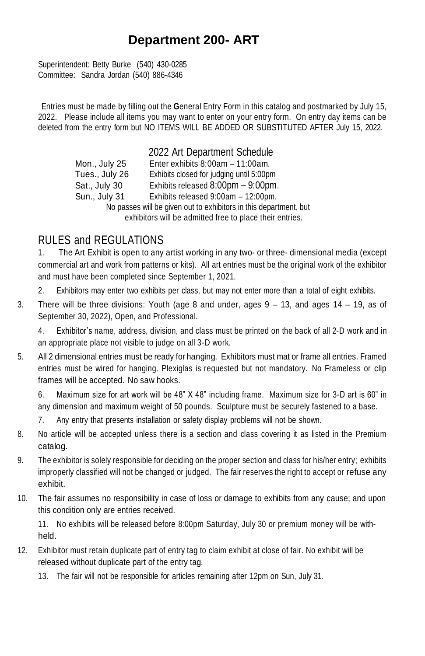# **Department 200- ART**

Superintendent: Betty Burke (540) 430-0285 Committee: Sandra Jordan (540) 886-4346

Entries must be made by filling out the **G**eneral Entry Form in this catalog and postmarked by July 15, 2022. Please include all items you may want to enter on your entry form. On entry day items can be deleted from the entry form but NO ITEMS WILL BE ADDED OR SUBSTITUTED AFTER July 15, 2022.

> 2022 Art Department Schedule Mon., July 25 Enter exhibits 8:00am – 11:00am. Tues., July 26 Exhibits closed for judging until 5:00pm Sat., July 30 Exhibits released 8:00pm – 9:00pm. Sun., July 31 Exhibits released 9:00am – 12:00pm. No passes will be given out to exhibitors in this department, but exhibitors will be admitted free to place their entries.

## RULES and REGULATIONS

1. The Art Exhibit is open to any artist working in any two- or three- dimensional media (except commercial art and work from patterns or kits). All art entries must be the original work of the exhibitor and must have been completed since September 1, 2021.

- 2. Exhibitors may enter two exhibits per class, but may not enter more than a total of eight exhibits.
- 3. There will be three divisions: Youth (age 8 and under, ages 9 13, and ages 14 19, as of September 30, 2022), Open, and Professional.

4. Exhibitor's name, address, division, and class must be printed on the back of all 2-D work and in an appropriate place not visible to judge on all 3-D work.

5. All 2 dimensional entries must be ready for hanging. Exhibitors must mat or frame all entries. Framed entries must be wired for hanging. Plexiglas is requested but not mandatory. No Frameless or clip frames will be accepted. No saw hooks.

6. Maximum size for art work will be 48" X 48" including frame. Maximum size for 3-D art is 60" in any dimension and maximum weight of 50 pounds. Sculpture must be securely fastened to a base.

- 7. Any entry that presents installation or safety display problems will not be shown.
- 8. No article will be accepted unless there is a section and class covering it as listed in the Premium catalog.
- 9. The exhibitor is solely responsible for deciding on the proper section and class for his/her entry; exhibits improperly classified will not be changed or judged. The fair reserves the right to accept or refuse any exhibit.
- 10. The fair assumes no responsibility in case of loss or damage to exhibits from any cause; and upon this condition only are entries received.

11. No exhibits will be released before 8:00pm Saturday, July 30 or premium money will be withheld.

- 12. Exhibitor must retain duplicate part of entry tag to claim exhibit at close of fair. No exhibit will be released without duplicate part of the entry tag.
	- 13. The fair will not be responsible for articles remaining after 12pm on Sun, July 31.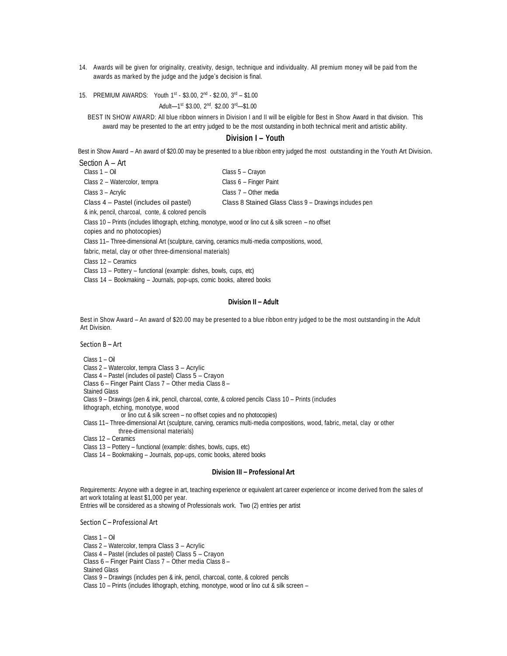- 14. Awards will be given for originality, creativity, design, technique and individuality. All premium money will be paid from the awards as marked by the judge and the judge's decision is final.
- 15. PREMIUM AWARDS: Youth  $1^{st}$  \$3.00,  $2^{nd}$  \$2.00,  $3^{rd}$  \$1.00 Adult—1<sup>st</sup> \$3.00, 2<sup>nd</sup>. \$2.00 3<sup>rd</sup>—\$1.00

BEST IN SHOW AWARD: All blue ribbon winners in Division I and II will be eligible for Best in Show Award in that division. This award may be presented to the art entry judged to be the most outstanding in both technical merit and artistic ability.

### **Division I – Youth**

Best in Show Award – An award of \$20.00 may be presented to a blue ribbon entry judged the most outstanding in the Youth Art Division.

| Section A - Art                        |                                                       |
|----------------------------------------|-------------------------------------------------------|
| Class 1 – Oil                          | Class 5 - Cravon                                      |
| Class 2 - Watercolor, tempra           | Class 6 - Finger Paint                                |
| Class 3 - Acrylic                      | Class 7 - Other media                                 |
| Class 4 – Pastel (includes oil pastel) | Class 8 Stained Glass Class 9 – Drawings includes pen |

& ink, pencil, charcoal, conte, & colored pencils

Class 10 – Prints (includes lithograph, etching, monotype, wood or lino cut & silk screen – no offset

copies and no photocopies)

Class 11– Three-dimensional Art (sculpture, carving, ceramics multi-media compositions, wood,

fabric, metal, clay or other three-dimensional materials)

Class 12 – Ceramics

Class 13 – Pottery – functional (example: dishes, bowls, cups, etc)

Class 14 – Bookmaking – Journals, pop-ups, comic books, altered books

#### **Division II – Adult**

Best in Show Award – An award of \$20.00 may be presented to a blue ribbon entry judged to be the most outstanding in the Adult Art Division.

Section B – Art

Class 1 – Oil

Class 2 – Watercolor, tempra Class 3 – Acrylic

Class 4 – Pastel (includes oil pastel) Class 5 – Crayon

Class 6 – Finger Paint Class 7 – Other media Class 8 –

Stained Glass

Class 9 – Drawings (pen & ink, pencil, charcoal, conte, & colored pencils Class 10 – Prints (includes

lithograph, etching, monotype, wood

or lino cut & silk screen – no offset copies and no photocopies)

Class 11– Three-dimensional Art (sculpture, carving, ceramics multi-media compositions, wood, fabric, metal, clay or other three-dimensional materials)

Class 12 – Ceramics

Class 13 – Pottery – functional (example: dishes, bowls, cups, etc)

Class 14 – Bookmaking – Journals, pop-ups, comic books, altered books

#### **Division III – Professional Art**

Requirements: Anyone with a degree in art, teaching experience or equivalent art career experience or income derived from the sales of art work totaling at least \$1,000 per year.

Entries will be considered as a showing of Professionals work. Two (2) entries per artist

Section C – Professional Art

Class 1 – Oil

Class 2 – Watercolor, tempra Class 3 – Acrylic

Class 4 – Pastel (includes oil pastel) Class 5 – Crayon

Class 6 – Finger Paint Class 7 – Other media Class 8 –

Stained Glass

Class 9 – Drawings (includes pen & ink, pencil, charcoal, conte, & colored pencils

Class 10 – Prints (includes lithograph, etching, monotype, wood or lino cut & silk screen –